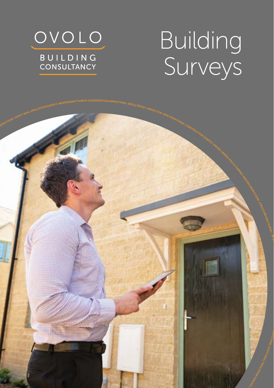

# Building Surveys

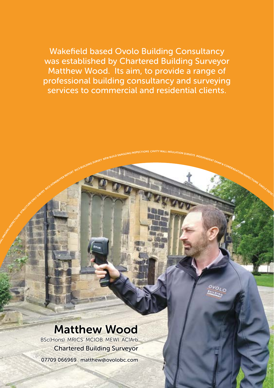Wakefield based Ovolo Building Consultancy was established by Chartered Building Surveyor Matthew Wood. Its aim, to provide a range of professional building consultancy and surveying services to commercial and residential clients.

Matthew Wood

Matthew Wood BSc(Hons) MRICS MCIOB MEWI ACIArb Chartered Building Surveyor 07709 066969 matthew@ovolobc.com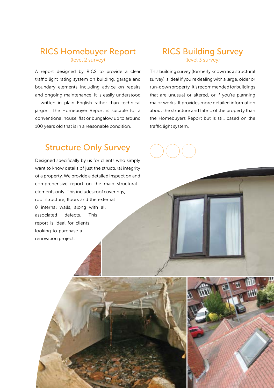#### RICS Homebuyer Report (level 2 survey)

A report designed by RICS to provide a clear traffic light rating system on building, garage and boundary elements including advice on repairs and ongoing maintenance. It is easily understood – written in plain English rather than technical jargon. The Homebuyer Report is suitable for a conventional house, flat or bungalow up to around 100 years old that is in a reasonable condition.

#### Structure Only Survey

Designed specifically by us for clients who simply want to know details of just the structural integrity of a property. We provide a detailed inspection and comprehensive report on the main structural elements only. This includes roof coverings, roof structure, floors and the external & internal walls, along with all associated defects. This report is ideal for clients looking to purchase a renovation project.

#### RICS Building Survey (level 3 survey)

This building survey (formerly known as a structural survey) is ideal if you're dealing with a large, older or run-down property. It's recommended for buildings that are unusual or altered, or if you're planning major works. It provides more detailed information about the structure and fabric of the property than the Homebuyers Report but is still based on the traffic light system.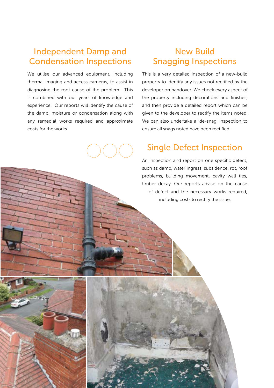#### Independent Damp and Condensation Inspections

We utilise our advanced equipment, including thermal imaging and access cameras, to assist in diagnosing the root cause of the problem. This is combined with our years of knowledge and experience. Our reports will identify the cause of the damp, moisture or condensation along with any remedial works required and approximate costs for the works.

### New Build Snagging Inspections

This is a very detailed inspection of a new-build property to identify any issues not rectified by the developer on handover. We check every aspect of the property including decorations and finishes, and then provide a detailed report which can be given to the developer to rectify the items noted. We can also undertake a 'de-snag' inspection to ensure all snags noted have been rectified.

#### Single Defect Inspection

An inspection and report on one specific defect, such as damp, water ingress, subsidence, rot, roof problems, building movement, cavity wall ties, timber decay. Our reports advise on the cause of defect and the necessary works required, including costs to rectify the issue.

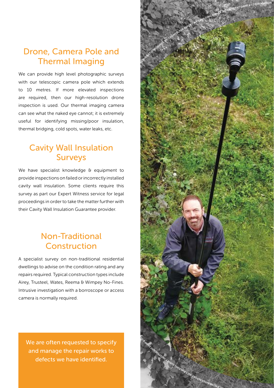## Drone, Camera Pole and Thermal Imaging

We can provide high level photographic surveys with our telescopic camera pole which extends to 10 metres. If more elevated inspections are required, then our high-resolution drone inspection is used. Our thermal imaging camera can see what the naked eye cannot; it is extremely useful for identifying missing/poor insulation, thermal bridging, cold spots, water leaks, etc.

#### Cavity Wall Insulation Surveys

We have specialist knowledge & equipment to provide inspections on failed or incorrectly installed cavity wall insulation. Some clients require this survey as part our Expert Witness service for legal proceedings in order to take the matter further with their Cavity Wall Insulation Guarantee provider.

### Non-Traditional Construction

A specialist survey on non-traditional residential dwellings to advise on the condition rating and any repairs required. Typical construction types include Airey, Trusteel, Wates, Reema & Wimpey No-Fines. Intrusive investigation with a borroscope or access camera is normally required.

We are often requested to specify and manage the repair works to defects we have identified.